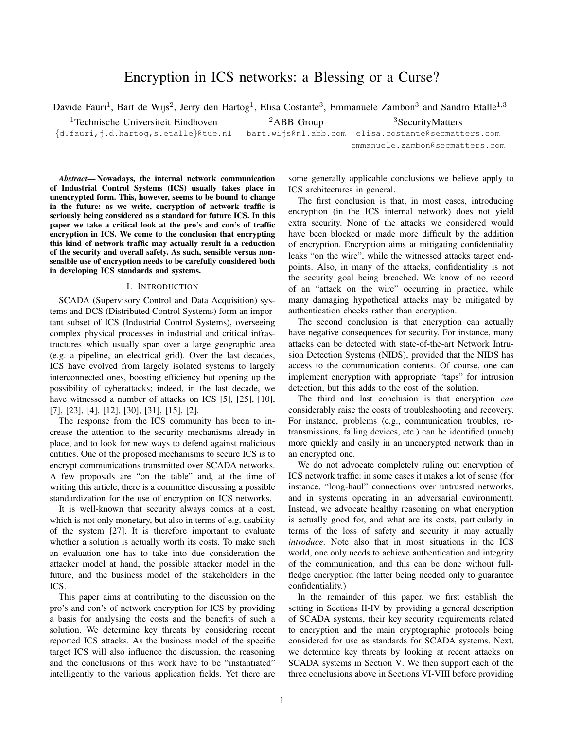# Encryption in ICS networks: a Blessing or a Curse?

Davide Fauri<sup>1</sup>, Bart de Wijs<sup>2</sup>, Jerry den Hartog<sup>1</sup>, Elisa Costante<sup>3</sup>, Emmanuele Zambon<sup>3</sup> and Sandro Etalle<sup>1,3</sup>

<sup>1</sup>Technische Universiteit Eindhoven <sup>2</sup>ABB Group

{d.fauri,j.d.hartog,s.etalle}@tue.nl bart.wijs@nl.abb.com elisa.costante@secmatters.com

emmanuele.zambon@secmatters.com

<sup>3</sup>SecurityMatters

*Abstract*— Nowadays, the internal network communication of Industrial Control Systems (ICS) usually takes place in unencrypted form. This, however, seems to be bound to change in the future: as we write, encryption of network traffic is seriously being considered as a standard for future ICS. In this paper we take a critical look at the pro's and con's of traffic encryption in ICS. We come to the conclusion that encrypting this kind of network traffic may actually result in a reduction of the security and overall safety. As such, sensible versus nonsensible use of encryption needs to be carefully considered both in developing ICS standards and systems.

#### I. INTRODUCTION

SCADA (Supervisory Control and Data Acquisition) systems and DCS (Distributed Control Systems) form an important subset of ICS (Industrial Control Systems), overseeing complex physical processes in industrial and critical infrastructures which usually span over a large geographic area (e.g. a pipeline, an electrical grid). Over the last decades, ICS have evolved from largely isolated systems to largely interconnected ones, boosting efficiency but opening up the possibility of cyberattacks; indeed, in the last decade, we have witnessed a number of attacks on ICS [5], [25], [10], [7], [23], [4], [12], [30], [31], [15], [2].

The response from the ICS community has been to increase the attention to the security mechanisms already in place, and to look for new ways to defend against malicious entities. One of the proposed mechanisms to secure ICS is to encrypt communications transmitted over SCADA networks. A few proposals are "on the table" and, at the time of writing this article, there is a committee discussing a possible standardization for the use of encryption on ICS networks.

It is well-known that security always comes at a cost, which is not only monetary, but also in terms of e.g. usability of the system [27]. It is therefore important to evaluate whether a solution is actually worth its costs. To make such an evaluation one has to take into due consideration the attacker model at hand, the possible attacker model in the future, and the business model of the stakeholders in the ICS.

This paper aims at contributing to the discussion on the pro's and con's of network encryption for ICS by providing a basis for analysing the costs and the benefits of such a solution. We determine key threats by considering recent reported ICS attacks. As the business model of the specific target ICS will also influence the discussion, the reasoning and the conclusions of this work have to be "instantiated" intelligently to the various application fields. Yet there are

some generally applicable conclusions we believe apply to ICS architectures in general.

The first conclusion is that, in most cases, introducing encryption (in the ICS internal network) does not yield extra security. None of the attacks we considered would have been blocked or made more difficult by the addition of encryption. Encryption aims at mitigating confidentiality leaks "on the wire", while the witnessed attacks target endpoints. Also, in many of the attacks, confidentiality is not the security goal being breached. We know of no record of an "attack on the wire" occurring in practice, while many damaging hypothetical attacks may be mitigated by authentication checks rather than encryption.

The second conclusion is that encryption can actually have negative consequences for security. For instance, many attacks can be detected with state-of-the-art Network Intrusion Detection Systems (NIDS), provided that the NIDS has access to the communication contents. Of course, one can implement encryption with appropriate "taps" for intrusion detection, but this adds to the cost of the solution.

The third and last conclusion is that encryption *can* considerably raise the costs of troubleshooting and recovery. For instance, problems (e.g., communication troubles, retransmissions, failing devices, etc.) can be identified (much) more quickly and easily in an unencrypted network than in an encrypted one.

We do not advocate completely ruling out encryption of ICS network traffic: in some cases it makes a lot of sense (for instance, "long-haul" connections over untrusted networks, and in systems operating in an adversarial environment). Instead, we advocate healthy reasoning on what encryption is actually good for, and what are its costs, particularly in terms of the loss of safety and security it may actually *introduce*. Note also that in most situations in the ICS world, one only needs to achieve authentication and integrity of the communication, and this can be done without fullfledge encryption (the latter being needed only to guarantee confidentiality.)

In the remainder of this paper, we first establish the setting in Sections II-IV by providing a general description of SCADA systems, their key security requirements related to encryption and the main cryptographic protocols being considered for use as standards for SCADA systems. Next, we determine key threats by looking at recent attacks on SCADA systems in Section V. We then support each of the three conclusions above in Sections VI-VIII before providing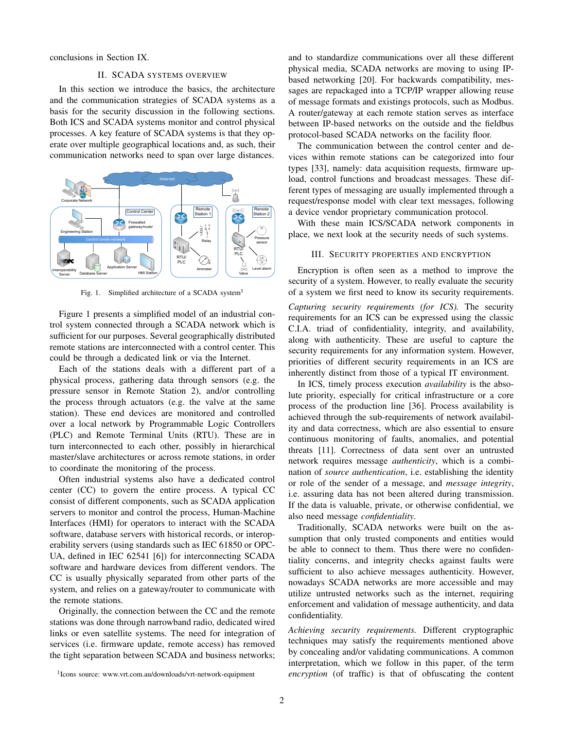conclusions in Section IX.

#### II. SCADA SYSTEMS OVERVIEW

In this section we introduce the basics, the architecture and the communication strategies of SCADA systems as a basis for the security discussion in the following sections. Both ICS and SCADA systems monitor and control physical processes. A key feature of SCADA systems is that they operate over multiple geographical locations and, as such, their communication networks need to span over large distances.



Fig. 1. Simplified architecture of a SCADA system<sup>1</sup>

Figure 1 presents a simplified model of an industrial control system connected through a SCADA network which is sufficient for our purposes. Several geographically distributed remote stations are interconnected with a control center. This could be through a dedicated link or via the Internet.

Each of the stations deals with a different part of a physical process, gathering data through sensors (e.g. the pressure sensor in Remote Station 2), and/or controlling the process through actuators (e.g. the valve at the same station). These end devices are monitored and controlled over a local network by Programmable Logic Controllers (PLC) and Remote Terminal Units (RTU). These are in turn interconnected to each other, possibly in hierarchical master/slave architectures or across remote stations, in order to coordinate the monitoring of the process.

Often industrial systems also have a dedicated control center (CC) to govern the entire process. A typical CC consist of different components, such as SCADA application servers to monitor and control the process, Human-Machine Interfaces (HMI) for operators to interact with the SCADA software, database servers with historical records, or interoperability servers (using standards such as IEC 61850 or OPC-UA, defined in IEC 62541 [6]) for interconnecting SCADA software and hardware devices from different vendors. The CC is usually physically separated from other parts of the system, and relies on a gateway/router to communicate with the remote stations.

Originally, the connection between the CC and the remote stations was done through narrowband radio, dedicated wired links or even satellite systems. The need for integration of services (i.e. firmware update, remote access) has removed the tight separation between SCADA and business networks;

and to standardize communications over all these different physical media, SCADA networks are moving to using IPbased networking [20]. For backwards compatibility, messages are repackaged into a TCP/IP wrapper allowing reuse of message formats and existings protocols, such as Modbus. A router/gateway at each remote station serves as interface between IP-based networks on the outside and the fieldbus protocol-based SCADA networks on the facility floor.

The communication between the control center and devices within remote stations can be categorized into four types [33], namely: data acquisition requests, firmware upload, control functions and broadcast messages. These different types of messaging are usually implemented through a request/response model with clear text messages, following a device vendor proprietary communication protocol.

With these main ICS/SCADA network components in place, we next look at the security needs of such systems.

#### III. SECURITY PROPERTIES AND ENCRYPTION

Encryption is often seen as a method to improve the security of a system. However, to really evaluate the security of a system we first need to know its security requirements.

*Capturing security requirements (for ICS).* The security requirements for an ICS can be expressed using the classic C.I.A. triad of confidentiality, integrity, and availability, along with authenticity. These are useful to capture the security requirements for any information system. However, priorities of different security requirements in an ICS are inherently distinct from those of a typical IT environment.

In ICS, timely process execution *availability* is the absolute priority, especially for critical infrastructure or a core process of the production line [36]. Process availability is achieved through the sub-requirements of network availability and data correctness, which are also essential to ensure continuous monitoring of faults, anomalies, and potential threats [11]. Correctness of data sent over an untrusted network requires message *authenticity*, which is a combination of *source authentication*, i.e. establishing the identity or role of the sender of a message, and *message integrity*, i.e. assuring data has not been altered during transmission. If the data is valuable, private, or otherwise confidential, we also need message *confidentiality*.

Traditionally, SCADA networks were built on the assumption that only trusted components and entities would be able to connect to them. Thus there were no confidentiality concerns, and integrity checks against faults were sufficient to also achieve messages authenticity. However, nowadays SCADA networks are more accessible and may utilize untrusted networks such as the internet, requiring enforcement and validation of message authenticity, and data confidentiality.

*Achieving security requirements.* Different cryptographic techniques may satisfy the requirements mentioned above by concealing and/or validating communications. A common interpretation, which we follow in this paper, of the term *encryption* (of traffic) is that of obfuscating the content

<sup>1</sup> Icons source: www.vrt.com.au/downloads/vrt-network-equipment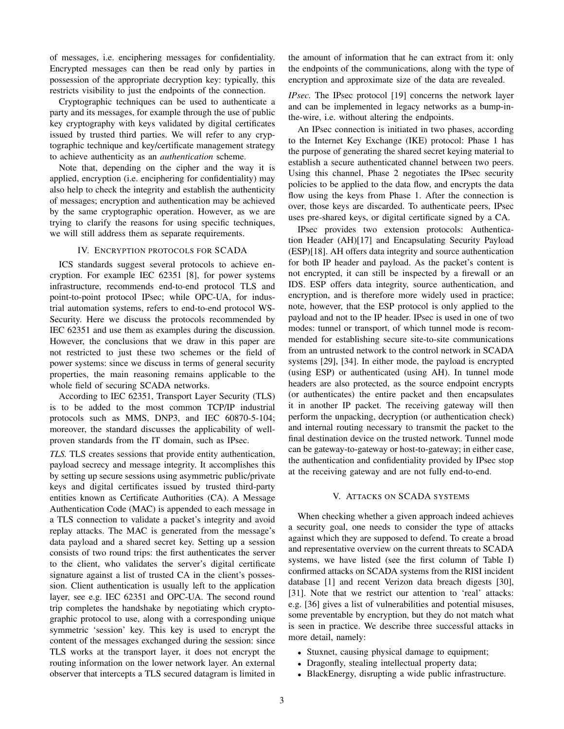of messages, i.e. enciphering messages for confidentiality. Encrypted messages can then be read only by parties in possession of the appropriate decryption key: typically, this restricts visibility to just the endpoints of the connection.

Cryptographic techniques can be used to authenticate a party and its messages, for example through the use of public key cryptography with keys validated by digital certificates issued by trusted third parties. We will refer to any cryptographic technique and key/certificate management strategy to achieve authenticity as an *authentication* scheme.

Note that, depending on the cipher and the way it is applied, encryption (i.e. enciphering for confidentiality) may also help to check the integrity and establish the authenticity of messages; encryption and authentication may be achieved by the same cryptographic operation. However, as we are trying to clarify the reasons for using specific techniques, we will still address them as separate requirements.

## IV. ENCRYPTION PROTOCOLS FOR SCADA

ICS standards suggest several protocols to achieve encryption. For example IEC 62351 [8], for power systems infrastructure, recommends end-to-end protocol TLS and point-to-point protocol IPsec; while OPC-UA, for industrial automation systems, refers to end-to-end protocol WS-Security. Here we discuss the protocols recommended by IEC 62351 and use them as examples during the discussion. However, the conclusions that we draw in this paper are not restricted to just these two schemes or the field of power systems: since we discuss in terms of general security properties, the main reasoning remains applicable to the whole field of securing SCADA networks.

According to IEC 62351, Transport Layer Security (TLS) is to be added to the most common TCP/IP industrial protocols such as MMS, DNP3, and IEC 60870-5-104; moreover, the standard discusses the applicability of wellproven standards from the IT domain, such as IPsec.

*TLS.* TLS creates sessions that provide entity authentication, payload secrecy and message integrity. It accomplishes this by setting up secure sessions using asymmetric public/private keys and digital certificates issued by trusted third-party entities known as Certificate Authorities (CA). A Message Authentication Code (MAC) is appended to each message in a TLS connection to validate a packet's integrity and avoid replay attacks. The MAC is generated from the message's data payload and a shared secret key. Setting up a session consists of two round trips: the first authenticates the server to the client, who validates the server's digital certificate signature against a list of trusted CA in the client's possession. Client authentication is usually left to the application layer, see e.g. IEC 62351 and OPC-UA. The second round trip completes the handshake by negotiating which cryptographic protocol to use, along with a corresponding unique symmetric 'session' key. This key is used to encrypt the content of the messages exchanged during the session: since TLS works at the transport layer, it does not encrypt the routing information on the lower network layer. An external observer that intercepts a TLS secured datagram is limited in the amount of information that he can extract from it: only the endpoints of the communications, along with the type of encryption and approximate size of the data are revealed.

*IPsec.* The IPsec protocol [19] concerns the network layer and can be implemented in legacy networks as a bump-inthe-wire, i.e. without altering the endpoints.

An IPsec connection is initiated in two phases, according to the Internet Key Exchange (IKE) protocol: Phase 1 has the purpose of generating the shared secret keying material to establish a secure authenticated channel between two peers. Using this channel, Phase 2 negotiates the IPsec security policies to be applied to the data flow, and encrypts the data flow using the keys from Phase 1. After the connection is over, those keys are discarded. To authenticate peers, IPsec uses pre-shared keys, or digital certificate signed by a CA.

IPsec provides two extension protocols: Authentication Header (AH)[17] and Encapsulating Security Payload (ESP)[18]. AH offers data integrity and source authentication for both IP header and payload. As the packet's content is not encrypted, it can still be inspected by a firewall or an IDS. ESP offers data integrity, source authentication, and encryption, and is therefore more widely used in practice; note, however, that the ESP protocol is only applied to the payload and not to the IP header. IPsec is used in one of two modes: tunnel or transport, of which tunnel mode is recommended for establishing secure site-to-site communications from an untrusted network to the control network in SCADA systems [29], [34]. In either mode, the payload is encrypted (using ESP) or authenticated (using AH). In tunnel mode headers are also protected, as the source endpoint encrypts (or authenticates) the entire packet and then encapsulates it in another IP packet. The receiving gateway will then perform the unpacking, decryption (or authentication check) and internal routing necessary to transmit the packet to the final destination device on the trusted network. Tunnel mode can be gateway-to-gateway or host-to-gateway; in either case, the authentication and confidentiality provided by IPsec stop at the receiving gateway and are not fully end-to-end.

## V. ATTACKS ON SCADA SYSTEMS

When checking whether a given approach indeed achieves a security goal, one needs to consider the type of attacks against which they are supposed to defend. To create a broad and representative overview on the current threats to SCADA systems, we have listed (see the first column of Table I) confirmed attacks on SCADA systems from the RISI incident database [1] and recent Verizon data breach digests [30], [31]. Note that we restrict our attention to 'real' attacks: e.g. [36] gives a list of vulnerabilities and potential misuses, some preventable by encryption, but they do not match what is seen in practice. We describe three successful attacks in more detail, namely:

- Stuxnet, causing physical damage to equipment;
- Dragonfly, stealing intellectual property data;
- BlackEnergy, disrupting a wide public infrastructure.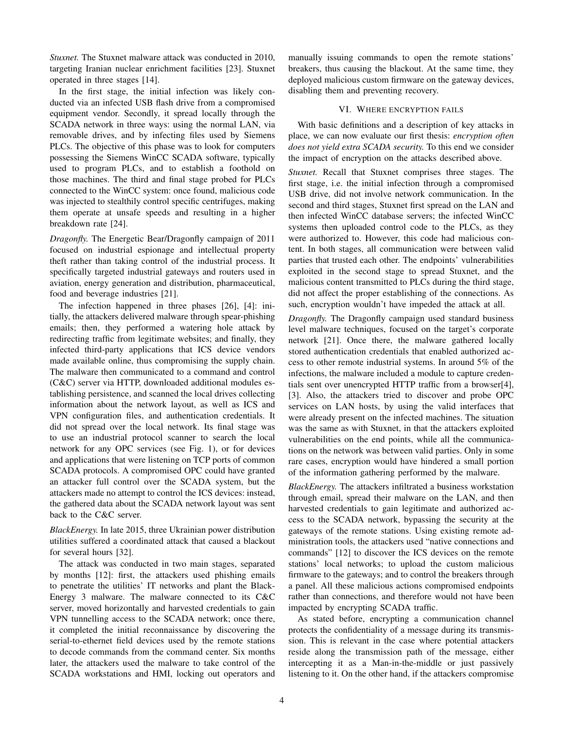*Stuxnet.* The Stuxnet malware attack was conducted in 2010, targeting Iranian nuclear enrichment facilities [23]. Stuxnet operated in three stages [14].

In the first stage, the initial infection was likely conducted via an infected USB flash drive from a compromised equipment vendor. Secondly, it spread locally through the SCADA network in three ways: using the normal LAN, via removable drives, and by infecting files used by Siemens PLCs. The objective of this phase was to look for computers possessing the Siemens WinCC SCADA software, typically used to program PLCs, and to establish a foothold on those machines. The third and final stage probed for PLCs connected to the WinCC system: once found, malicious code was injected to stealthily control specific centrifuges, making them operate at unsafe speeds and resulting in a higher breakdown rate [24].

*Dragonfly.* The Energetic Bear/Dragonfly campaign of 2011 focused on industrial espionage and intellectual property theft rather than taking control of the industrial process. It specifically targeted industrial gateways and routers used in aviation, energy generation and distribution, pharmaceutical, food and beverage industries [21].

The infection happened in three phases [26], [4]: initially, the attackers delivered malware through spear-phishing emails; then, they performed a watering hole attack by redirecting traffic from legitimate websites; and finally, they infected third-party applications that ICS device vendors made available online, thus compromising the supply chain. The malware then communicated to a command and control (C&C) server via HTTP, downloaded additional modules establishing persistence, and scanned the local drives collecting information about the network layout, as well as ICS and VPN configuration files, and authentication credentials. It did not spread over the local network. Its final stage was to use an industrial protocol scanner to search the local network for any OPC services (see Fig. 1), or for devices and applications that were listening on TCP ports of common SCADA protocols. A compromised OPC could have granted an attacker full control over the SCADA system, but the attackers made no attempt to control the ICS devices: instead, the gathered data about the SCADA network layout was sent back to the C&C server.

*BlackEnergy.* In late 2015, three Ukrainian power distribution utilities suffered a coordinated attack that caused a blackout for several hours [32].

The attack was conducted in two main stages, separated by months [12]: first, the attackers used phishing emails to penetrate the utilities' IT networks and plant the Black-Energy 3 malware. The malware connected to its C&C server, moved horizontally and harvested credentials to gain VPN tunnelling access to the SCADA network; once there, it completed the initial reconnaissance by discovering the serial-to-ethernet field devices used by the remote stations to decode commands from the command center. Six months later, the attackers used the malware to take control of the SCADA workstations and HMI, locking out operators and manually issuing commands to open the remote stations' breakers, thus causing the blackout. At the same time, they deployed malicious custom firmware on the gateway devices, disabling them and preventing recovery.

# VI. WHERE ENCRYPTION FAILS

With basic definitions and a description of key attacks in place, we can now evaluate our first thesis: *encryption often does not yield extra SCADA security.* To this end we consider the impact of encryption on the attacks described above.

*Stuxnet.* Recall that Stuxnet comprises three stages. The first stage, i.e. the initial infection through a compromised USB drive, did not involve network communication. In the second and third stages, Stuxnet first spread on the LAN and then infected WinCC database servers; the infected WinCC systems then uploaded control code to the PLCs, as they were authorized to. However, this code had malicious content. In both stages, all communication were between valid parties that trusted each other. The endpoints' vulnerabilities exploited in the second stage to spread Stuxnet, and the malicious content transmitted to PLCs during the third stage, did not affect the proper establishing of the connections. As such, encryption wouldn't have impeded the attack at all.

*Dragonfly.* The Dragonfly campaign used standard business level malware techniques, focused on the target's corporate network [21]. Once there, the malware gathered locally stored authentication credentials that enabled authorized access to other remote industrial systems. In around 5% of the infections, the malware included a module to capture credentials sent over unencrypted HTTP traffic from a browser[4], [3]. Also, the attackers tried to discover and probe OPC services on LAN hosts, by using the valid interfaces that were already present on the infected machines. The situation was the same as with Stuxnet, in that the attackers exploited vulnerabilities on the end points, while all the communications on the network was between valid parties. Only in some rare cases, encryption would have hindered a small portion of the information gathering performed by the malware.

*BlackEnergy.* The attackers infiltrated a business workstation through email, spread their malware on the LAN, and then harvested credentials to gain legitimate and authorized access to the SCADA network, bypassing the security at the gateways of the remote stations. Using existing remote administration tools, the attackers used "native connections and commands" [12] to discover the ICS devices on the remote stations' local networks; to upload the custom malicious firmware to the gateways; and to control the breakers through a panel. All these malicious actions compromised endpoints rather than connections, and therefore would not have been impacted by encrypting SCADA traffic.

As stated before, encrypting a communication channel protects the confidentiality of a message during its transmission. This is relevant in the case where potential attackers reside along the transmission path of the message, either intercepting it as a Man-in-the-middle or just passively listening to it. On the other hand, if the attackers compromise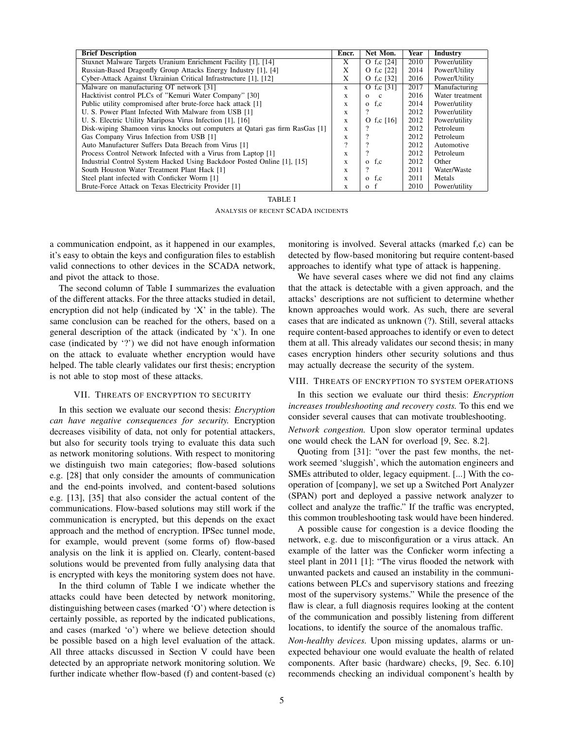| <b>Brief Description</b>                                                     | Encr.        | Net Mon.     | Year | <b>Industry</b> |
|------------------------------------------------------------------------------|--------------|--------------|------|-----------------|
| Stuxnet Malware Targets Uranium Enrichment Facility [1], [14]                | X            | O f.c [24]   | 2010 | Power/utility   |
| Russian-Based Dragonfly Group Attacks Energy Industry [1], [4]               | X            | O f.c [22]   | 2014 | Power/Utility   |
| Cyber-Attack Against Ukrainian Critical Infrastructure [1], [12]             | X            | O f,c [32]   | 2016 | Power/Utility   |
| Malware on manufacturing OT network [31]                                     | X            | O f.c [31]   | 2017 | Manufacturing   |
| Hacktivist control PLCs of "Kemuri Water Company" [30]                       | X            | $0 \quad c$  | 2016 | Water treatment |
| Public utility compromised after brute-force hack attack [1]                 | $\mathbf{x}$ | $o$ f.c      | 2014 | Power/utility   |
| U. S. Power Plant Infected With Malware from USB [1]                         | X            |              | 2012 | Power/utility   |
| U. S. Electric Utility Mariposa Virus Infection [1], [16]                    | X            | O f,c $[16]$ | 2012 | Power/utility   |
| Disk-wiping Shamoon virus knocks out computers at Qatari gas firm RasGas [1] | X            |              | 2012 | Petroleum       |
| Gas Company Virus Infection from USB [1]                                     | X            |              | 2012 | Petroleum       |
| Auto Manufacturer Suffers Data Breach from Virus [1]                         |              |              | 2012 | Automotive      |
| Process Control Network Infected with a Virus from Laptop [1]                | X            |              | 2012 | Petroleum       |
| Industrial Control System Hacked Using Backdoor Posted Online [1], [15]      | X            | $o$ f.c      | 2012 | Other           |
| South Houston Water Treatment Plant Hack [1]                                 | X            |              | 2011 | Water/Waste     |
| Steel plant infected with Conficker Worm [1]                                 | X            | $o$ f.c      | 2011 | Metals          |
| Brute-Force Attack on Texas Electricity Provider [1]                         | X            | o f          | 2010 | Power/utility   |

TABLE I ANALYSIS OF RECENT SCADA INCIDENTS

a communication endpoint, as it happened in our examples, it's easy to obtain the keys and configuration files to establish valid connections to other devices in the SCADA network, and pivot the attack to those.

The second column of Table I summarizes the evaluation of the different attacks. For the three attacks studied in detail, encryption did not help (indicated by 'X' in the table). The same conclusion can be reached for the others, based on a general description of the attack (indicated by 'x'). In one case (indicated by '?') we did not have enough information on the attack to evaluate whether encryption would have helped. The table clearly validates our first thesis; encryption is not able to stop most of these attacks.

# VII. THREATS OF ENCRYPTION TO SECURITY

In this section we evaluate our second thesis: *Encryption can have negative consequences for security.* Encryption decreases visibility of data, not only for potential attackers, but also for security tools trying to evaluate this data such as network monitoring solutions. With respect to monitoring we distinguish two main categories; flow-based solutions e.g. [28] that only consider the amounts of communication and the end-points involved, and content-based solutions e.g. [13], [35] that also consider the actual content of the communications. Flow-based solutions may still work if the communication is encrypted, but this depends on the exact approach and the method of encryption. IPSec tunnel mode, for example, would prevent (some forms of) flow-based analysis on the link it is applied on. Clearly, content-based solutions would be prevented from fully analysing data that is encrypted with keys the monitoring system does not have.

In the third column of Table I we indicate whether the attacks could have been detected by network monitoring, distinguishing between cases (marked 'O') where detection is certainly possible, as reported by the indicated publications, and cases (marked 'o') where we believe detection should be possible based on a high level evaluation of the attack. All three attacks discussed in Section V could have been detected by an appropriate network monitoring solution. We further indicate whether flow-based (f) and content-based (c) monitoring is involved. Several attacks (marked f,c) can be detected by flow-based monitoring but require content-based approaches to identify what type of attack is happening.

We have several cases where we did not find any claims that the attack is detectable with a given approach, and the attacks' descriptions are not sufficient to determine whether known approaches would work. As such, there are several cases that are indicated as unknown (?). Still, several attacks require content-based approaches to identify or even to detect them at all. This already validates our second thesis; in many cases encryption hinders other security solutions and thus may actually decrease the security of the system.

## VIII. THREATS OF ENCRYPTION TO SYSTEM OPERATIONS

In this section we evaluate our third thesis: *Encryption increases troubleshooting and recovery costs.* To this end we consider several causes that can motivate troubleshooting. *Network congestion.* Upon slow operator terminal updates one would check the LAN for overload [9, Sec. 8.2].

Quoting from [31]: "over the past few months, the network seemed 'sluggish', which the automation engineers and SMEs attributed to older, legacy equipment. [...] With the cooperation of [company], we set up a Switched Port Analyzer (SPAN) port and deployed a passive network analyzer to collect and analyze the traffic." If the traffic was encrypted, this common troubleshooting task would have been hindered.

A possible cause for congestion is a device flooding the network, e.g. due to misconfiguration or a virus attack. An example of the latter was the Conficker worm infecting a steel plant in 2011 [1]: "The virus flooded the network with unwanted packets and caused an instability in the communications between PLCs and supervisory stations and freezing most of the supervisory systems." While the presence of the flaw is clear, a full diagnosis requires looking at the content of the communication and possibly listening from different locations, to identify the source of the anomalous traffic.

*Non-healthy devices.* Upon missing updates, alarms or unexpected behaviour one would evaluate the health of related components. After basic (hardware) checks, [9, Sec. 6.10] recommends checking an individual component's health by